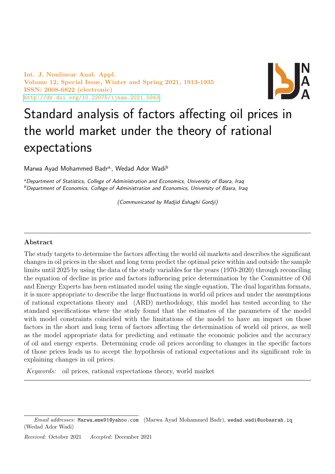Int. J. Nonlinear Anal. Appl. Volume 12, Special Issue, Winter and Spring 2021, 1913-1935 ISSN: 2008-6822 (electronic) <http://dx.doi.org/10.22075/ijnaa.2021.5943>



# Standard analysis of factors affecting oil prices in the world market under the theory of rational expectations

Marwa Ayad Mohammed Badr<sup>a,</sup>, Wedad Ador Wadi<sup>b</sup>

aDepartment of Statistics, College of Administration and Economics, University of Basra, Iraq  $b$ Department of Economics, College of Administration and Economics, University of Basra, Iraq

(Communicated by Madjid Eshaghi Gordji)

#### Abstract

The study targets to determine the factors affecting the world oil markets and describes the significant changes in oil prices in the short and long term predict the optimal price within and outside the sample limits until 2025 by using the data of the study variables for the years (1970-2020) through reconciling the equation of decline in price and factors influencing price determination by the Committee of Oil and Energy Experts has been estimated model using the single equation, The dual logarithm formats, it is more appropriate to describe the large fluctuations in world oil prices and under the assumptions of rational expectations theory and (ARD) methodology, this model has tested according to the standard specifications where the study found that the estimates of the parameters of the model with model constraints coincided with the limitations of the model to have an impact on those factors in the short and long term of factors affecting the determination of world oil prices, as well as the model appropriate data for predicting and estimate the economic policies and the accuracy of oil and energy experts. Determining crude oil prices according to changes in the specific factors of those prices leads us to accept the hypothesis of rational expectations and its significant role in explaining changes in oil prices.

Keywords: oil prices, rational expectations theory, world market

Received: October 2021 Accepted: December 2021

Email addresses: Marwa\_eme91@yahoo.com (Marwa Ayad Mohammed Badr), wedad.wadi@uobasrah.iq (Wedad Ador Wadi)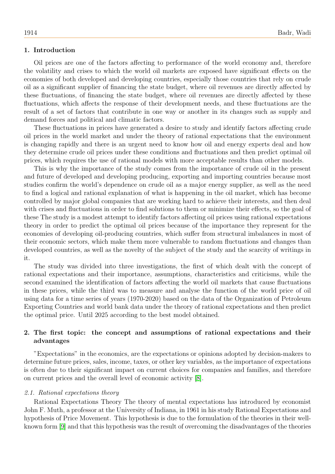# 1. Introduction

Oil prices are one of the factors affecting to performance of the world economy and, therefore the volatility and crises to which the world oil markets are exposed have significant effects on the economies of both developed and developing countries, especially those countries that rely on crude oil as a significant supplier of financing the state budget, where oil revenues are directly affected by these fluctuations, of financing the state budget, where oil revenues are directly affected by these fluctuations, which affects the response of their development needs, and these fluctuations are the result of a set of factors that contribute in one way or another in its changes such as supply and demand forces and political and climatic factors.

These fluctuations in prices have generated a desire to study and identify factors affecting crude oil prices in the world market and under the theory of rational expectations that the environment is changing rapidly and there is an urgent need to know how oil and energy experts deal and how they determine crude oil prices under these conditions and fluctuations and then predict optimal oil prices, which requires the use of rational models with more acceptable results than other models.

This is why the importance of the study comes from the importance of crude oil in the present and future of developed and developing producing, exporting and importing countries because most studies confirm the world's dependence on crude oil as a major energy supplier, as well as the need to find a logical and rational explanation of what is happening in the oil market, which has become controlled by major global companies that are working hard to achieve their interests, and then deal with crises and fluctuations in order to find solutions to them or minimize their effects, so the goal of these The study is a modest attempt to identify factors affecting oil prices using rational expectations theory in order to predict the optimal oil prices because of the importance they represent for the economies of developing oil-producing countries, which suffer from structural imbalances in most of their economic sectors, which make them more vulnerable to random fluctuations and changes than developed countries, as well as the novelty of the subject of the study and the scarcity of writings in it.

The study was divided into three investigations, the first of which dealt with the concept of rational expectations and their importance, assumptions, characteristics and criticisms, while the second examined the identification of factors affecting the world oil markets that cause fluctuations in these prices, while the third was to measure and analyse the function of the world price of oil using data for a time series of years (1970-2020) based on the data of the Organization of Petroleum Exporting Countries and world bank data under the theory of rational expectations and then predict the optimal price. Until 2025 according to the best model obtained.

# 2. The first topic: the concept and assumptions of rational expectations and their advantages

"Expectations" in the economics, are the expectations or opinions adopted by decision-makers to determine future prices, sales, income, taxes, or other key variables, as the importance of expectations is often due to their significant impact on current choices for companies and families, and therefore on current prices and the overall level of economic activity [\[8\]](#page-21-0).

#### 2.1. Rational expectations theory

Rational Expectations Theory The theory of mental expectations has introduced by economist John F. Muth, a professor at the University of Indiana, in 1961 in his study Rational Expectations and hypothesis of Price Movement. This hypothesis is due to the formulation of the theories in their wellknown form [\[9\]](#page-21-1) and that this hypothesis was the result of overcoming the disadvantages of the theories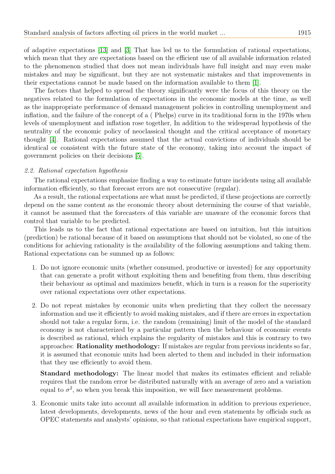of adaptive expectations [\[13\]](#page-21-2) and [\[3\]](#page-21-3) That has led us to the formulation of rational expectations, which mean that they are expectations based on the efficient use of all available information related to the phenomenon studied that does not mean individuals have full insight and may even make mistakes and may be significant, but they are not systematic mistakes and that improvements in their expectations cannot be made based on the information available to them [\[1\]](#page-21-4).

The factors that helped to spread the theory significantly were the focus of this theory on the negatives related to the formulation of expectations in the economic models at the time, as well as the inappropriate performance of demand management policies in controlling unemployment and inflation, and the failure of the concept of a ( Phelps) curve in its traditional form in the 1970s when levels of unemployment and inflation rose together, In addition to the widespread hypothesis of the neutrality of the economic policy of neoclassical thought and the critical acceptance of monetary thought [\[4\]](#page-21-5). Rational expectations assumed that the actual convictions of individuals should be identical or consistent with the future state of the economy, taking into account the impact of government policies on their decisions [\[5\]](#page-21-6).

#### 2.2. Rational expectation hypothesis

The rational expectations emphasize finding a way to estimate future incidents using all available information efficiently, so that forecast errors are not consecutive (regular).

As a result, the rational expectations are what must be predicted, if these projections are correctly depend on the same content as the economic theory about determining the course of that variable, it cannot be assumed that the forecasters of this variable are unaware of the economic forces that control that variable to be predicted.

This leads us to the fact that rational expectations are based on intuition, but this intuition (prediction) be rational because of it based on assumptions that should not be violated, so one of the conditions for achieving rationality is the availability of the following assumptions and taking them. Rational expectations can be summed up as follows:

- 1. Do not ignore economic units (whether consumed, productive or invested) for any opportunity that can generate a profit without exploiting them and benefiting from them, thus describing their behaviour as optimal and maximizes benefit, which in turn is a reason for the superiority over rational expectations over other expectations.
- 2. Do not repeat mistakes by economic units when predicting that they collect the necessary information and use it efficiently to avoid making mistakes, and if there are errors in expectation should not take a regular form, i.e. the random (remaining) limit of the model of the standard economy is not characterized by a particular pattern then the behaviour of economic events is described as rational, which explains the regularity of mistakes and this is contrary to two approaches: Rationality methodology: If mistakes are regular from previous incidents so far, it is assumed that economic units had been alerted to them and included in their information that they use efficiently to avoid them.

Standard methodology: The linear model that makes its estimates efficient and reliable requires that the random error be distributed naturally with an average of zero and a variation equal to  $\sigma^2$ , so when you break this imposition, we will face measurement problems.

3. Economic units take into account all available information in addition to previous experience, latest developments, developments, news of the hour and even statements by officials such as OPEC statements and analysts' opinions, so that rational expectations have empirical support,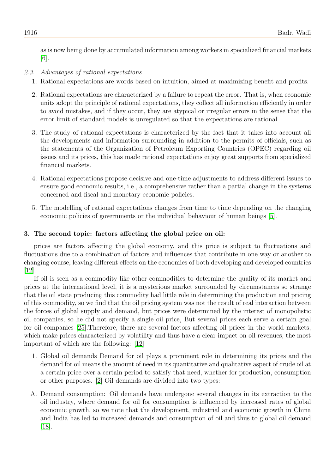as is now being done by accumulated information among workers in specialized financial markets [\[6\]](#page-21-7).

# 2.3. Advantages of rational expectations

- 1. Rational expectations are words based on intuition, aimed at maximizing benefit and profits.
- 2. Rational expectations are characterized by a failure to repeat the error. That is, when economic units adopt the principle of rational expectations, they collect all information efficiently in order to avoid mistakes, and if they occur, they are atypical or irregular errors in the sense that the error limit of standard models is unregulated so that the expectations are rational.
- 3. The study of rational expectations is characterized by the fact that it takes into account all the developments and information surrounding in addition to the permits of officials, such as the statements of the Organization of Petroleum Exporting Countries (OPEC) regarding oil issues and its prices, this has made rational expectations enjoy great supports from specialized financial markets.
- 4. Rational expectations propose decisive and one-time adjustments to address different issues to ensure good economic results, i.e., a comprehensive rather than a partial change in the systems concerned and fiscal and monetary economic policies.
- 5. The modelling of rational expectations changes from time to time depending on the changing economic policies of governments or the individual behaviour of human beings [\[5\]](#page-21-6).

# 3. The second topic: factors affecting the global price on oil:

prices are factors affecting the global economy, and this price is subject to fluctuations and fluctuations due to a combination of factors and influences that contribute in one way or another to changing course, leaving different effects on the economies of both developing and developed countries [\[12\]](#page-21-8).

If oil is seen as a commodity like other commodities to determine the quality of its market and prices at the international level, it is a mysterious market surrounded by circumstances so strange that the oil state producing this commodity had little role in determining the production and pricing of this commodity, so we find that the oil pricing system was not the result of real interaction between the forces of global supply and demand, but prices were determined by the interest of monopolistic oil companies, so he did not specify a single oil price, But several prices each serve a certain goal for oil companies [\[25\]](#page-22-0).Therefore, there are several factors affecting oil prices in the world markets, which make prices characterized by volatility and thus have a clear impact on oil revenues, the most important of which are the following: [\[12\]](#page-21-8)

- 1. Global oil demands Demand for oil plays a prominent role in determining its prices and the demand for oil means the amount of need in its quantitative and qualitative aspect of crude oil at a certain price over a certain period to satisfy that need, whether for production, consumption or other purposes. [\[2\]](#page-21-9) Oil demands are divided into two types:
- A. Demand consumption: Oil demands have undergone several changes in its extraction to the oil industry, where demand for oil for consumption is influenced by increased rates of global economic growth, so we note that the development, industrial and economic growth in China and India has led to increased demands and consumption of oil and thus to global oil demand [\[18\]](#page-21-10).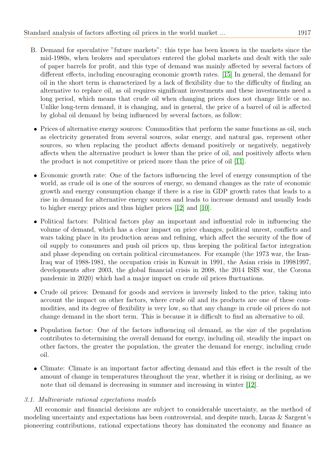- B. Demand for speculative "future markets": this type has been known in the markets since the mid-1980s, when brokers and speculators entered the global markets and dealt with the sale of paper barrels for profit, and this type of demand was mainly affected by several factors of different effects, including encouraging economic growth rates. [\[15\]](#page-21-11) In general, the demand for oil in the short term is characterized by a lack of flexibility due to the difficulty of finding an alternative to replace oil, as oil requires significant investments and these investments need a long period, which means that crude oil when changing prices does not change little or no. Unlike long-term demand, it is changing, and in general, the price of a barrel of oil is affected by global oil demand by being influenced by several factors, as follow:
	- Prices of alternative energy sources: Commodities that perform the same functions as oil, such as electricity generated from several sources, solar energy, and natural gas, represent other sources, so when replacing the product affects demand positively or negatively, negatively affects when the alternative product is lower than the price of oil, and positively affects when the product is not competitive or priced more than the price of oil [\[11\]](#page-21-12).
	- Economic growth rate: One of the factors influencing the level of energy consumption of the world, as crude oil is one of the sources of energy, so demand changes as the rate of economic growth and energy consumption change if there is a rise in GDP growth rates that leads to a rise in demand for alternative energy sources and leads to increase demand and usually leads to higher energy prices and thus higher prices [\[12\]](#page-21-8) and [\[10\]](#page-21-13).
	- Political factors: Political factors play an important and influential role in influencing the volume of demand, which has a clear impact on price changes, political unrest, conflicts and wars taking place in its production areas and refining, which affect the security of the flow of oil supply to consumers and push oil prices up, thus keeping the political factor integration and phase depending on certain political circumstances. For example (the 1973 war, the Iran-Iraq war of 1988-1981, the occupation crisis in Kuwait in 1991, the Asian crisis in 19981997, developments after 2003, the global financial crisis in 2008, the 2014 ISIS war, the Corona pandemic in 2020) which had a major impact on crude oil prices fluctuations.
- Crude oil prices: Demand for goods and services is inversely linked to the price, taking into account the impact on other factors, where crude oil and its products are one of these commodities, and its degree of flexibility is very low, so that any change in crude oil prices do not change demand in the short term. This is because it is difficult to find an alternative to oil.
- Population factor: One of the factors influencing oil demand, as the size of the population contributes to determining the overall demand for energy, including oil, steadily the impact on other factors, the greater the population, the greater the demand for energy, including crude oil.
- Climate: Climate is an important factor affecting demand and this effect is the result of the amount of change in temperatures throughout the year, whether it is rising or declining, as we note that oil demand is decreasing in summer and increasing in winter [\[12\]](#page-21-8).

# 3.1. Multivariate rational expectations models

All economic and financial decisions are subject to considerable uncertainty, as the method of modeling uncertainty and expectations has been controversial, and despite much, Lucas & Sargent's pioneering contributions, rational expectations theory has dominated the economy and finance as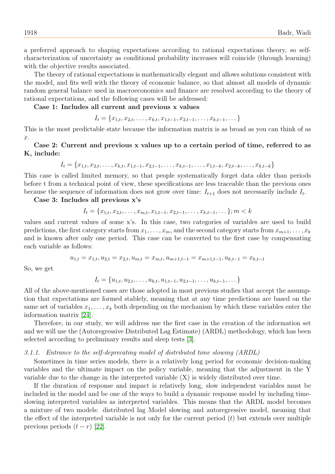a preferred approach to shaping expectations according to rational expectations theory, so selfcharacterization of uncertainty as conditional probability increases will coincide (through learning) with the objective results associated.

The theory of rational expectations is mathematically elegant and allows solutions consistent with the model, and fits well with the theory of economic balance, so that almost all models of dynamic random general balance used in macroeconomics and finance are resolved according to the theory of rational expectations, and the following cases will be addressed:

## Case 1: Includes all current and previous x values

$$
I_t = \{x_{1,t}, x_{2,t}, \ldots, x_{k,t}, x_{1,t-1}, x_{2,t-1}, \ldots, x_{k,t-1}, \ldots\}
$$

This is the most predictable state because the information matrix is as broad as you can think of as  $\hat{x}$ .

# Case 2: Current and previous x values up to a certain period of time, referred to as K, include:

$$
I_t = \{x_{1,t}, x_{2,t}, \dots, x_{k,t}, x_{1,t-1}, x_{2,t-1}, \dots, x_{k,t-1}, \dots, x_{1,t-k}, x_{2,t-k}, \dots, x_{k,t-k}\}
$$

This case is called limited memory, so that people systematically forget data older than periods before t from a technical point of view, these specifications are less traceable than the previous ones because the sequence of information does not grow over time:  $I_{t+1}$  does not necessarily include  $I_t$ .

Case 3: Includes all previous x's

$$
I_t = \{x_{1,t}, x_{2,t}, \dots, x_{m,t}, x_{1,t-1}, x_{2,t-1}, \dots, x_{k,t-1}, \dots\}; m < k
$$

values and current values of some x's. In this case, two categories of variables are used to build predictions, the first category starts from  $x_1, \ldots, x_m$ , and the second category starts from  $x_{m+1}, \ldots, x_k$ and is known after only one period. This case can be converted to the first case by compensating each variable as follows:

$$
u_{1,t} = x_{1,t}, u_{2,t} = x_{2,t}, u_{m,t} = x_{m,t}, u_{m+1,t-1} = x_{m+1,t-1}, u_{k,t-1} = x_{k,t-1}
$$

So, we get

$$
I_t = \{u_{1,t}, u_{2,t}, \dots, u_{k,t}, u_{1,t-1}, u_{2,t-1}, \dots, u_{k,t-1}, \dots\}
$$

All of the above-mentioned cases are those adopted in most previous studies that accept the assumption that expectations are formed stablely, meaning that at any time predictions are based on the same set of variables  $x_1, \ldots, x_k$  both depending on the mechanism by which these variables enter the information matrix [\[24\]](#page-22-1).

Therefore, in our study, we will address use the first case in the creation of the information set and we will use the (Autoregressive Distributed Lag Estimate) (ARDL) methodology, which has been selected according to preliminary results and sleep tests [\[3\]](#page-21-3).

# 3.1.1. Entrance to the self-deprecating model of distributed time slowing (ARDL)

Sometimes in time series models, there is a relatively long period for economic decision-making variables and the ultimate impact on the policy variable, meaning that the adjustment in the Y variable due to the change in the interpreted variable (X) is widely distributed over time.

If the duration of response and impact is relatively long, slow independent variables must be included in the model and be one of the ways to build a dynamic response model by including timeslowing interpreted variables as interpreted variables. This means that the ARDL model becomes a mixture of two models: distributed lag Model slowing and autoregressive model, meaning that the effect of the interpreted variable is not only for the current period  $(t)$  but extends over multiple previous periods  $(t - r)$  [\[22\]](#page-22-2).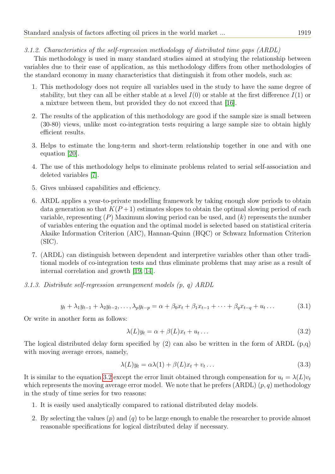# 3.1.2. Characteristics of the self-regression methodology of distributed time gaps (ARDL)

This methodology is used in many standard studies aimed at studying the relationship between variables due to their ease of application, as this methodology differs from other methodologies of the standard economy in many characteristics that distinguish it from other models, such as:

- 1. This methodology does not require all variables used in the study to have the same degree of stability, but they can all be either stable at a level  $I(0)$  or stable at the first difference  $I(1)$  or a mixture between them, but provided they do not exceed that [\[16\]](#page-21-14).
- 2. The results of the application of this methodology are good if the sample size is small between (30-80) views, unlike most co-integration tests requiring a large sample size to obtain highly efficient results.
- 3. Helps to estimate the long-term and short-term relationship together in one and with one equation [\[20\]](#page-22-3).
- 4. The use of this methodology helps to eliminate problems related to serial self-association and deleted variables [\[7\]](#page-21-15).
- 5. Gives unbiased capabilities and efficiency.
- 6. ARDL applies a year-to-private modelling framework by taking enough slow periods to obtain data generation so that  $K(P+1)$  estimates slopes to obtain the optimal slowing period of each variable, representing  $(P)$  Maximum slowing period can be used, and  $(k)$  represents the number of variables entering the equation and the optimal model is selected based on statistical criteria Akaike Information Criterion (AIC), Hannan-Quinn (HQC) or Schwarz Information Criterion (SIC).
- 7. (ARDL) can distinguish between dependent and interpretive variables other than other traditional models of co-integration tests and thus eliminate problems that may arise as a result of internal correlation and growth [\[19,](#page-22-4) [14\]](#page-21-16).
- 3.1.3. Distribute self-regression arrangement models (p, q) ARDL

$$
y_t + \lambda_1 y_{t-1} + \lambda_2 y_{t-2}, \dots, \lambda_p y_{t-p} = \alpha + \beta_0 x_t + \beta_1 x_{t-1} + \dots + \beta_q x_{t-q} + u_t \dots \tag{3.1}
$$

Or write in another form as follows:

<span id="page-6-1"></span><span id="page-6-0"></span>
$$
\lambda(L)y_t = \alpha + \beta(L)x_t + u_t \dots \tag{3.2}
$$

The logical distributed delay form specified by  $(2)$  can also be written in the form of ARDL  $(p,q)$ with moving average errors, namely,

$$
\lambda(L)y_t = \alpha \lambda(1) + \beta(L)x_t + v_t \dots \tag{3.3}
$$

It is similar to the equation [3.2](#page-6-0) except the error limit obtained through compensation for  $u_t = \lambda(L)v_t$ which represents the moving average error model. We note that he prefers  $(ARDL)$   $(p, q)$  methodology in the study of time series for two reasons:

- 1. It is easily used analytically compared to rational distributed delay models.
- 2. By selecting the values  $(p)$  and  $(q)$  to be large enough to enable the researcher to provide almost reasonable specifications for logical distributed delay if necessary.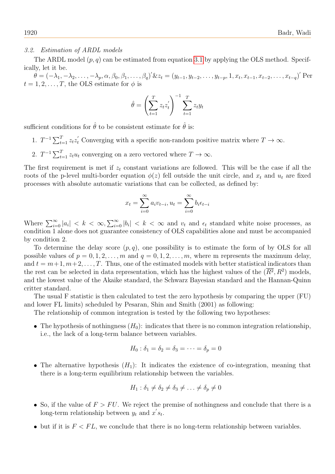#### 3.2. Estimation of ARDL models

The ARDL model  $(p, q)$  can be estimated from equation [3.1](#page-6-1) by applying the OLS method. Specifically, let it be.

 $\theta = (-\lambda_1, -\lambda_2, \ldots, -\lambda_p, \alpha, \beta_0, \beta_1, \ldots, \beta_q)' \& z_t = (y_{t-1}, y_{t-2}, \ldots, y_{t-p}, 1, x_t, x_{t-1}, x_{t-2}, \ldots, x_{t-q})'$  Per  $t = 1, 2, \ldots, T$ , the OLS estimate for  $\phi$  is

$$
\hat{\theta} = \left(\sum_{t=1}^{T} z_t z_t'\right)^{-1} \sum_{t=1}^{T} z_t y_t
$$

sufficient conditions for  $\hat{\theta}$  to be consistent estimate for  $\hat{\theta}$  is:

- 1.  $T^{-1} \sum_{t=1}^{T} z_t z_t'$  Converging with a specific non-random positive matrix where  $T \to \infty$ .
- 2.  $T^{-1} \sum_{t=1}^{T} z_t u_t$  converging on a zero vectored where  $T \to \infty$ .

The first requirement is met if  $z_t$  constant variations are followed. This will be the case if all the roots of the p-level multi-border equation  $\phi(z)$  fell outside the unit circle, and  $x_t$  and  $u_t$  are fixed processes with absolute automatic variations that can be collected, as defined by:

$$
x_t = \sum_{i=0}^{\infty} a_i v_{t-i}, u_t = \sum_{i=0}^{\infty} b_i \epsilon_{t-i}
$$

Where  $\sum_{i=0}^{\infty} |a_i| < k < \infty$ ,  $\sum_{i=0}^{\infty} |b_i| < k < \infty$  and  $v_t$  and  $\epsilon_t$  standard white noise processes, as condition 1 alone does not guarantee consistency of OLS capabilities alone and must be accompanied by condition 2.

To determine the delay score  $(p, q)$ , one possibility is to estimate the form of by OLS for all possible values of  $p = 0, 1, 2, \ldots, m$  and  $q = 0, 1, 2, \ldots, m$ , where m represents the maximum delay, and  $t = m+1, m+2, \ldots, T$ . Thus, one of the estimated models with better statistical indicators than the rest can be selected in data representation, which has the highest values of the  $(\overline{R^2}, R^2)$  models, and the lowest value of the Akaike standard, the Schwarz Bayesian standard and the Hannan-Quinn critter standard.

The usual F statistic is then calculated to test the zero hypothesis by comparing the upper (FU) and lower FL limits) scheduled by Pesaran, Shin and Smith (2001) as following:

The relationship of common integration is tested by the following two hypotheses:

• The hypothesis of nothingness  $(H_0)$ : indicates that there is no common integration relationship, i.e., the lack of a long-term balance between variables.

$$
H_0: \delta_1 = \delta_2 = \delta_3 = \cdots = \delta_p = 0
$$

• The alternative hypothesis  $(H_1)$ : It indicates the existence of co-integration, meaning that there is a long-term equilibrium relationship between the variables.

$$
H_1: \delta_1 \neq \delta_2 \neq \delta_3 \neq \ldots \neq \delta_p \neq 0
$$

- So, if the value of  $F > FU$ . We reject the premise of nothingness and conclude that there is a long-term relationship between  $y_t$  and  $x's_t$ .
- $\bullet$  but if it is  $F < FL$ , we conclude that there is no long-term relationship between variables.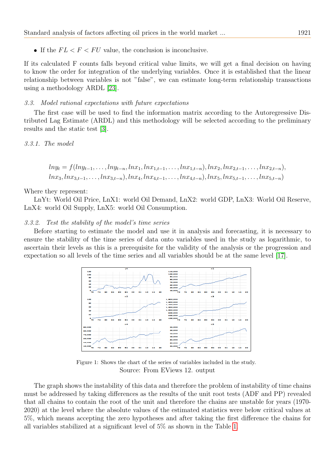If the  $FL < F < FU$  value, the conclusion is inconclusive.

If its calculated F counts falls beyond critical value limits, we will get a final decision on having to know the order for integration of the underlying variables. Once it is established that the linear relationship between variables is not "false", we can estimate long-term relationship transactions using a methodology ARDL [\[23\]](#page-22-5).

#### 3.3. Model rational expectations with future expectations

The first case will be used to find the information matrix according to the Autoregressive Distributed Lag Estimate (ARDL) and this methodology will be selected according to the preliminary results and the static test [\[3\]](#page-21-3).

3.3.1. The model

$$
ln y_t = f(ln y_{t-1}, \ldots, ln y_{t-n}, ln x_1, ln x_{1,t-1}, \ldots, ln x_{1,t-n}), ln x_2, ln x_{2,t-1}, \ldots, ln x_{2,t-n}),
$$
  

$$
ln x_3, ln x_{3,t-1}, \ldots, ln x_{3,t-n}), ln x_4, ln x_{4,t-1}, \ldots, ln x_{4,t-n}), ln x_5, ln x_{5,t-1}, \ldots, ln x_{5,t-n})
$$

Where they represent:

LnYt: World Oil Price, LnX1: world Oil Demand, LnX2: world GDP, LnX3: World Oil Reserve, LnX4: world Oil Supply, LnX5: world Oil Consumption.

#### 3.3.2. Test the stability of the model's time series

Before starting to estimate the model and use it in analysis and forecasting, it is necessary to ensure the stability of the time series of data onto variables used in the study as logarithmic, to ascertain their levels as this is a prerequisite for the validity of the analysis or the progression and expectation so all levels of the time series and all variables should be at the same level [\[17\]](#page-21-17).



Figure 1: Shows the chart of the series of variables included in the study. Source: From EViews 12. output

The graph shows the instability of this data and therefore the problem of instability of time chains must be addressed by taking differences as the results of the unit root tests (ADF and PP) revealed that all chains to contain the root of the unit and therefore the chains are unstable for years (1970- 2020) at the level where the absolute values of the estimated statistics were below critical values at 5%, which means accepting the zero hypotheses and after taking the first difference the chains for all variables stabilized at a significant level of 5% as shown in the Table [1.](#page-9-0)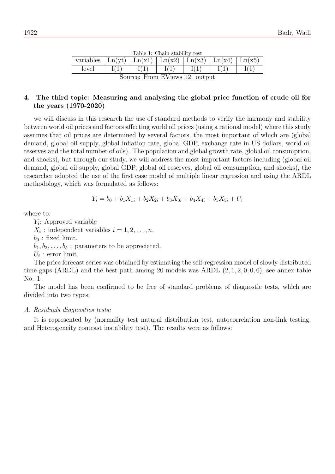| Table 1: Chain stability test                                                                                         |  |  |  |  |  |  |  |
|-----------------------------------------------------------------------------------------------------------------------|--|--|--|--|--|--|--|
| variables   $\text{Ln}(yt)$   $\text{Ln}(x1)$   $\text{Ln}(x2)$   $\text{Ln}(x3)$   $\text{Ln}(x4)$   $\text{Ln}(x5)$ |  |  |  |  |  |  |  |
| level                                                                                                                 |  |  |  |  |  |  |  |
| Source: From EViews 12. output                                                                                        |  |  |  |  |  |  |  |

Table 1: Chain stability test

# <span id="page-9-0"></span>4. The third topic: Measuring and analysing the global price function of crude oil for the years (1970-2020)

we will discuss in this research the use of standard methods to verify the harmony and stability between world oil prices and factors affecting world oil prices (using a rational model) where this study assumes that oil prices are determined by several factors, the most important of which are (global demand, global oil supply, global inflation rate, global GDP, exchange rate in US dollars, world oil reserves and the total number of oils). The population and global growth rate, global oil consumption, and shocks), but through our study, we will address the most important factors including (global oil demand, global oil supply, global GDP, global oil reserves, global oil consumption, and shocks), the researcher adopted the use of the first case model of multiple linear regression and using the ARDL methodology, which was formulated as follows:

$$
Y_i = b_0 + b_1 X_{1i} + b_2 X_{2i} + b_3 X_{3i} + b_4 X_{4i} + b_5 X_{5i} + U_i
$$

where to:

Yi : Approved variable  $X_i$ : independent variables  $i = 1, 2, \ldots, n$ .  $b_0$ : fixed limit.  $b_1, b_2, \ldots, b_5$ : parameters to be appreciated.  $U_i$ : error limit.

The price forecast series was obtained by estimating the self-regression model of slowly distributed time gaps (ARDL) and the best path among 20 models was ARDL  $(2, 1, 2, 0, 0, 0)$ , see annex table No. 1.

The model has been confirmed to be free of standard problems of diagnostic tests, which are divided into two types:

# A. Residuals diagnostics tests:

It is represented by (normality test natural distribution test, autocorrelation non-link testing, and Heterogeneity contrast instability test). The results were as follows: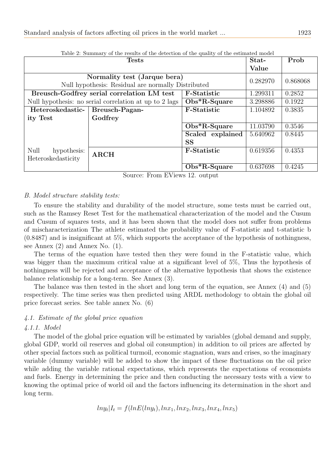| Table 2: Summary of the results of the detection of the quality of the estimated model |                                                        |                    |          |          |  |  |
|----------------------------------------------------------------------------------------|--------------------------------------------------------|--------------------|----------|----------|--|--|
|                                                                                        | <b>Tests</b>                                           |                    | Stat-    | Prob     |  |  |
|                                                                                        |                                                        |                    | Value    |          |  |  |
|                                                                                        | Normality test (Jarque bera)                           |                    | 0.282970 | 0.868068 |  |  |
|                                                                                        | Null hypothesis: Residual are normally Distributed     |                    |          |          |  |  |
| Breusch-Godfrey serial correlation LM test<br><b>F-Statistic</b>                       |                                                        |                    |          | 0.2852   |  |  |
|                                                                                        | Null hypothesis: no serial correlation at up to 2 lags | $Obs^*R-Square$    | 3.298886 | 0.1922   |  |  |
| Heteroskedastic-                                                                       | Breusch-Pagan-                                         | <b>F-Statistic</b> | 1.104892 | 0.3835   |  |  |
| ity Test                                                                               | Godfrey                                                |                    |          |          |  |  |
|                                                                                        |                                                        | $Obs^*R-Square$    | 11.03790 | 0.3546   |  |  |
|                                                                                        |                                                        | Scaled explained   | 5.640962 | 0.8445   |  |  |
|                                                                                        |                                                        | <b>SS</b>          |          |          |  |  |
| Null<br>hypothesis:                                                                    | <b>ARCH</b>                                            | <b>F-Statistic</b> | 0.619356 | 0.4353   |  |  |
| Heteroskedasticity                                                                     |                                                        |                    |          |          |  |  |
|                                                                                        |                                                        | $Obs*R-Square$     | 0.637698 | 0.4245   |  |  |

Source: From EViews 12. output

# B. Model structure stability tests:

To ensure the stability and durability of the model structure, some tests must be carried out, such as the Ramsey Reset Test for the mathematical characterization of the model and the Cusum and Cusum of squares tests, and it has been shown that the model does not suffer from problems of mischaracterization The athlete estimated the probability value of F-statistic and t-statistic b (0.8487) and is insignificant at 5%, which supports the acceptance of the hypothesis of nothingness, see Annex (2) and Annex No. (1).

The terms of the equation have tested then they were found in the F-statistic value, which was bigger than the maximum critical value at a significant level of 5%, Thus the hypothesis of nothingness will be rejected and acceptance of the alternative hypothesis that shows the existence balance relationship for a long-term. See Annex (3).

The balance was then tested in the short and long term of the equation, see Annex (4) and (5) respectively. The time series was then predicted using ARDL methodology to obtain the global oil price forecast series. See table annex No. (6)

# 4.1. Estimate of the global price equation

#### 4.1.1. Model

The model of the global price equation will be estimated by variables (global demand and supply, global GDP, world oil reserves and global oil consumption) in addition to oil prices are affected by other special factors such as political turmoil, economic stagnation, wars and crises, so the imaginary variable (dummy variable) will be added to show the impact of these fluctuations on the oil price while adding the variable rational expectations, which represents the expectations of economists and fuels. Energy in determining the price and then conducting the necessary tests with a view to knowing the optimal price of world oil and the factors influencing its determination in the short and long term.

$$
lny_t|I_t = f(lnE(lny_t), lnx_1, lnx_2, lnx_3, lnx_4, lnx_5)
$$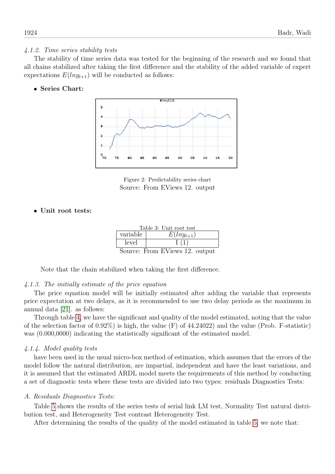# 4.1.2. Time series stability tests

The stability of time series data was tested for the beginning of the research and we found that all chains stabilized after taking the first difference and the stability of the added variable of expert expectations  $E(h_{y_{t+1}})$  will be conducted as follows:

# Series Chart:



Figure 2: Predictability series chart Source: From EViews 12. output

# Unit root tests:

|          | Table 3: Unit root test |
|----------|-------------------------|
| variable | $E(h_{y_{t+1}})$        |
| level    |                         |
|          | $\sim$<br>TTT 7.        |

Source: From EViews 12. output

Note that the chain stabilized when taking the first difference.

# 4.1.3. The initially estimate of the price equation

The price equation model will be initially estimated after adding the variable that represents price expectation at two delays, as it is recommended to use two delay periods as the maximum in annual data [\[21\]](#page-22-6). as follows:

Through table [4,](#page-12-0) we have the significant and quality of the model estimated, noting that the value of the selection factor of  $0.92\%$ ) is high, the value (F) of  $44.24022$ ) and the value (Prob. F-statistic) was  $(0.000,0000)$  indicating the statistically significant of the estimated model.

# 4.1.4. Model quality tests

have been used in the usual micro-box method of estimation, which assumes that the errors of the model follow the natural distribution, are impartial, independent and have the least variations, and it is assumed that the estimated ARDL model meets the requirements of this method by conducting a set of diagnostic tests where these tests are divided into two types: residuals Diagnostics Tests:

# A. Residuals Diagnostics Tests:

Table [5](#page-13-0) shows the results of the series tests of serial link LM test, Normality Test natural distribution test, and Heterogeneity Test contrast Heterogeneity Test.

After determining the results of the quality of the model estimated in table [5,](#page-13-0) we note that: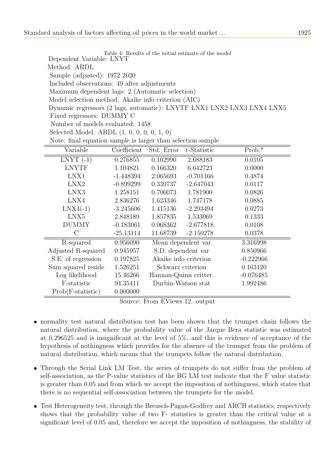<span id="page-12-0"></span>Table 4: Results of the initial estimate of the model Dependent Variable: LNYT Method: ARDL Sample (adjusted): 1972 2020 Included observations: 49 after adjustments Maximum dependent lags: 2 (Automatic selection) Model selection method: Akaike info criterion (AIC) Dynamic regressors (2 lags, automatic): LNYTF LNX1 LNX2 LNX3 LNX4 LNX5 Fixed regressors: DUMMY C Number of models evaluated: 1458 Selected Model: ARDL (1, 0, 0, 0, 0, 1, 0)

|  | Note: final equation sample is larger than selection sample |  |  |  |
|--|-------------------------------------------------------------|--|--|--|
|  |                                                             |  |  |  |

| Variable            | Coefficient | Std. Error            | t-Statistic | $Prob.*$    |
|---------------------|-------------|-----------------------|-------------|-------------|
| $LNYT$ (-1)         | 0.276855    | 0.102990              | 2.688183    | 0.0105      |
| <b>LNYTF</b>        | 1.104821    | 0.166320              | 6.642723    | 0.0000      |
| LNX1                | $-1.448394$ | 2.065693              | $-0.701166$ | 0.4874      |
| LNX2                | $-0.899299$ | 0.339737              | $-2.647043$ | 0.0117      |
| LNX3                | 1.258151    | 0.706073              | 1.781900    | 0.0826      |
| LNX4                | 2.836276    | 1.623346              | 1.747178    | 0.0885      |
| $LNX4(-1)$          | $-3.245606$ | 1.415136              | $-2.293494$ | 0.0273      |
| LNX5                | 2.848189    | 1.857835              | 1.533069    | 0.1333      |
| <b>DUMMY</b>        | $-0.183061$ | 0.068362              | $-2.677818$ | 0.0108      |
| С                   | $-25.13114$ | 11.68739              | $-2.150278$ | 0.0378      |
| R-squared           | 0.956090    | Mean dependent var    |             | 3.316998    |
| Adjusted R-squared  | 0.945957    | S.D. dependent var    |             | 0.850966    |
| S.E. of regression  | 0.197825    | Akaike info criterion |             | $-0.222966$ |
| Sum squared reside  | 1.526251    | Schwarz criterion     |             | 0.163120    |
| Log likelihood      | 15.46266    | Hannan-Quinn critter. |             | $-0.076485$ |
| F-statistic         | 94.35411    | Durbin-Watson stat    |             | 1.992486    |
| $Prob(F-statistic)$ | 0.000000    |                       |             |             |

Source: From EViews 12. output

- normality test natural distribution test has been shown that the trumpet chain follows the natural distribution, where the probability value of the Jarque Bera statistic was estimated at 0.296525 and is insignificant at the level of 5%, and this is evidence of acceptance of the hypothesis of nothingness which provides for the absence of the trumpet from the problem of natural distribution, which means that the trumpets follow the natural distribution.
- Through the Serial Link LM Test, the series of trumpets do not suffer from the problem of self-association, as the P-value statistics of the BG LM test indicate that the F value statistic is greater than 0.05 and from which we accept the imposition of nothingness, which states that there is no sequential self-association between the trumpets for the model.
- Test Heterogeneity test, through the Breusch-Pagan-Godfrey and ARCH statistics, respectively shows that the probability value of two F- statistics is greater than the critical value at a significant level of 0.05 and, therefore we accept the imposition of nothingness, the stability of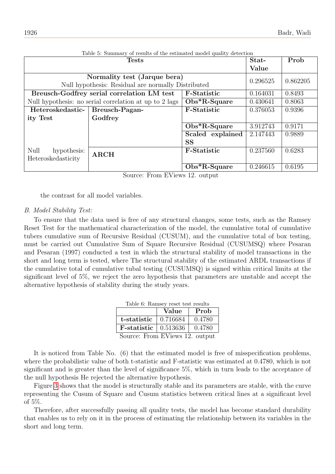<span id="page-13-0"></span>

| Table 5: Summary of results of the estimated model quality detection |                                                        |                                                     |          |          |  |
|----------------------------------------------------------------------|--------------------------------------------------------|-----------------------------------------------------|----------|----------|--|
|                                                                      | <b>Tests</b>                                           |                                                     | Stat-    | Prob     |  |
|                                                                      |                                                        |                                                     | Value    |          |  |
|                                                                      | Normality test (Jarque bera)                           |                                                     | 0.296525 | 0.862205 |  |
|                                                                      | Null hypothesis: Residual are normally Distributed     |                                                     |          |          |  |
|                                                                      | Breusch-Godfrey serial correlation LM test             | <b>F-Statistic</b>                                  | 0.164031 | 0.8493   |  |
|                                                                      | Null hypothesis: no serial correlation at up to 2 lags | $Obs^*R-Square$                                     | 0.430641 | 0.8063   |  |
| Heteroskedastic-                                                     | Breusch-Pagan-                                         | <b>F-Statistic</b>                                  | 0.376053 | 0.9396   |  |
| ity Test                                                             | Godfrey                                                |                                                     |          |          |  |
|                                                                      |                                                        | $\overline{\mathrm{Obs}}^*R\text{-}\mathrm{Square}$ | 3.912743 | 0.9171   |  |
|                                                                      |                                                        | Scaled explained                                    | 2.147443 | 0.9889   |  |
|                                                                      |                                                        | <b>SS</b>                                           |          |          |  |
| Null<br>hypothesis:                                                  | <b>ARCH</b>                                            | <b>F-Statistic</b>                                  | 0.237560 | 0.6283   |  |
| Heteroskedasticity                                                   |                                                        |                                                     |          |          |  |
|                                                                      |                                                        | $Obs*R-Square$                                      | 0.246615 | 0.6195   |  |

Source: From EViews 12. output

the contrast for all model variables.

#### B. Model Stability Test:

To ensure that the data used is free of any structural changes, some tests, such as the Ramsey Reset Test for the mathematical characterization of the model, the cumulative total of cumulative tubers cumulative sum of Recursive Residual (CUSUM), and the cumulative total of box testing, must be carried out Cumulative Sum of Square Recursive Residual (CUSUMSQ) where Pesaran and Pesaran (1997) conducted a test in which the structural stability of model transactions in the short and long term is tested, where The structural stability of the estimated ARDL transactions if the cumulative total of cumulative tubal testing (CUSUMSQ) is signed within critical limits at the significant level of 5%, we reject the zero hypothesis that parameters are unstable and accept the alternative hypothesis of stability during the study years.

| Table 6: Ramsey reset test results |  |  |
|------------------------------------|--|--|
|                                    |  |  |

|                                      | Value    | Prob   |
|--------------------------------------|----------|--------|
| t-statistic                          | 0.716684 | 0.4780 |
| <b>F</b> -statistic $\vert 0.513636$ |          | 0.4780 |
| Source: From EViews 12. output       |          |        |

<span id="page-13-1"></span>It is noticed from Table No. (6) that the estimated model is free of misspecification problems, where the probabilistic value of both t-statistic and F-statistic was estimated at 0.4780, which is not significant and is greater than the level of significance 5%, which in turn leads to the acceptance of the null hypothesis He rejected the alternative hypothesis.

Figure [3](#page-14-0) shows that the model is structurally stable and its parameters are stable, with the curve representing the Cusum of Square and Cusum statistics between critical lines at a significant level of 5%.

Therefore, after successfully passing all quality tests, the model has become standard durability that enables us to rely on it in the process of estimating the relationship between its variables in the short and long term.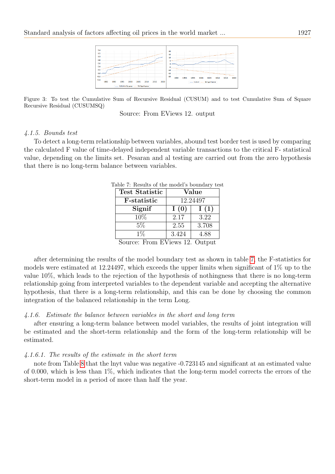

Figure 3: To test the Cumulative Sum of Recursive Residual (CUSUM) and to test Cumulative Sum of Square Recursive Residual (CUSUMSQ)

<span id="page-14-0"></span>Source: From EViews 12. output

#### 4.1.5. Bounds test

<span id="page-14-1"></span>To detect a long-term relationship between variables, abound test border test is used by comparing the calculated F value of time-delayed independent variable transactions to the critical F- statistical value, depending on the limits set. Pesaran and al testing are carried out from the zero hypothesis that there is no long-term balance between variables.

| <b>Test Statistic</b> | Value |          |  |
|-----------------------|-------|----------|--|
| <b>F</b> -statistic   |       | 12.24497 |  |
| Signif                | I(0)  | I(1)     |  |
| 10%                   | 2.17  | 3.22     |  |
| 5%                    | 2.55  | 3.708    |  |
| $1\%$                 | 3.424 | 4.88     |  |

Table 7: Results of the model's boundary test

Source: From EViews 12. Output

after determining the results of the model boundary test as shown in table [7,](#page-14-1) the F-statistics for models were estimated at 12.24497, which exceeds the upper limits when significant of 1% up to the value 10%, which leads to the rejection of the hypothesis of nothingness that there is no long-term relationship going from interpreted variables to the dependent variable and accepting the alternative hypothesis, that there is a long-term relationship, and this can be done by choosing the common integration of the balanced relationship in the term Long.

# 4.1.6. Estimate the balance between variables in the short and long term

after ensuring a long-term balance between model variables, the results of joint integration will be estimated and the short-term relationship and the form of the long-term relationship will be estimated.

#### 4.1.6.1. The results of the estimate in the short term

note from Table [8](#page-15-0) that the lnyt value was negative -0.723145 and significant at an estimated value of 0.000, which is less than 1%, which indicates that the long-term model corrects the errors of the short-term model in a period of more than half the year.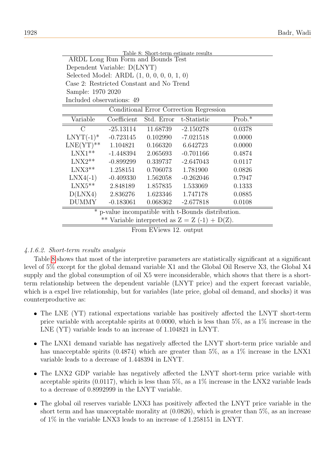<span id="page-15-0"></span>

| Table 8: Short-term estimate results                             |                                                 |                        |                                         |          |  |  |
|------------------------------------------------------------------|-------------------------------------------------|------------------------|-----------------------------------------|----------|--|--|
| <b>ARDL</b> Long Run Form and Bounds Test                        |                                                 |                        |                                         |          |  |  |
|                                                                  | Dependent Variable: D(LNYT)                     |                        |                                         |          |  |  |
|                                                                  | Selected Model: ARDL $(1, 0, 0, 0, 0, 1, 0)$    |                        |                                         |          |  |  |
|                                                                  | Case 2: Restricted Constant and No Trend        |                        |                                         |          |  |  |
| Sample: 1970 2020                                                |                                                 |                        |                                         |          |  |  |
| Included observations: 49                                        |                                                 |                        |                                         |          |  |  |
|                                                                  |                                                 |                        | Conditional Error Correction Regression |          |  |  |
| Variable                                                         | Coefficient                                     | Std. Error             | t-Statistic                             | $Prob.*$ |  |  |
| $\rm C$                                                          | $-25.13114$                                     | 11.68739               | $-2.150278$                             | 0.0378   |  |  |
|                                                                  | $LNYT(-1)* -0.723145$                           | 0.102990               | $-7.021518$                             | 0.0000   |  |  |
| $LNE(YT)$ ** 1.104821                                            |                                                 | 0.166320               | 6.642723                                | 0.0000   |  |  |
| $LNX1**$                                                         | $-1.448394$                                     | 2.065693               | $-0.701166$                             | 0.4874   |  |  |
| $LNX2**$                                                         | -0.899299                                       | 0.339737               | $-2.647043$                             | 0.0117   |  |  |
| $LNX3**$                                                         | 1.258151                                        |                        | 0.706073   1.781900                     | 0.0826   |  |  |
|                                                                  | $LNX4(-1)$ $-0.409330$                          | 1.562058               | $-0.262046$                             | 0.7947   |  |  |
|                                                                  | $LNX5***$ 2.848189                              |                        | 1.857835 1.533069                       | 0.1333   |  |  |
|                                                                  | $D(LNX4)$ 2.836276                              |                        | 1.623346 1.747178                       | 0.0885   |  |  |
| <b>DUMMY</b><br>$-2.677818$<br>$-0.183061$<br>0.068362<br>0.0108 |                                                 |                        |                                         |          |  |  |
| $\ast$<br>p-value incompatible with t-Bounds distribution.       |                                                 |                        |                                         |          |  |  |
|                                                                  | ** Variable interpreted as $Z = Z(-1) + D(Z)$ . |                        |                                         |          |  |  |
|                                                                  |                                                 | From EViews 12. output |                                         |          |  |  |

# 4.1.6.2. Short-term results analysis

Table [8](#page-15-0) shows that most of the interpretive parameters are statistically significant at a significant level of 5% except for the global demand variable X1 and the Global Oil Reserve X3, the Global X4 supply and the global consumption of oil X5 were inconsiderable, which shows that there is a shortterm relationship between the dependent variable (LNYT price) and the expert forecast variable, which is a expel live relationship, but for variables (late price, global oil demand, and shocks) it was counterproductive as:

- The LNE (YT) rational expectations variable has positively affected the LNYT short-term price variable with acceptable spirits at 0.0000, which is less than 5%, as a 1% increase in the LNE (YT) variable leads to an increase of 1.104821 in LNYT.
- The LNX1 demand variable has negatively affected the LNYT short-term price variable and has unacceptable spirits (0.4874) which are greater than 5%, as a 1% increase in the LNX1 variable leads to a decrease of 1.448394 in LNYT.
- The LNX2 GDP variable has negatively affected the LNYT short-term price variable with acceptable spirits  $(0.0117)$ , which is less than 5%, as a 1% increase in the LNX2 variable leads to a decrease of 0.8992999 in the LNYT variable.
- The global oil reserves variable LNX3 has positively affected the LNYT price variable in the short term and has unacceptable morality at  $(0.0826)$ , which is greater than 5%, as an increase of 1% in the variable LNX3 leads to an increase of 1.258151 in LNYT.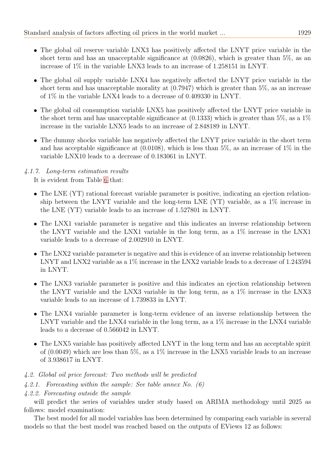- The global oil reserve variable LNX3 has positively affected the LNYT price variable in the short term and has an unacceptable significance at  $(0.0826)$ , which is greater than 5%, as an increase of 1% in the variable LNX3 leads to an increase of 1.258151 in LNYT.
- The global oil supply variable LNX4 has negatively affected the LNYT price variable in the short term and has unacceptable morality at (0.7947) which is greater than 5%, as an increase of 1% in the variable LNX4 leads to a decrease of 0.409330 in LNYT.
- The global oil consumption variable LNX5 has positively affected the LNYT price variable in the short term and has unacceptable significance at  $(0.1333)$  which is greater than 5%, as a 1% increase in the variable LNX5 leads to an increase of 2.848189 in LNYT.
- The dummy shocks variable has negatively affected the LNYT price variable in the short term and has acceptable significance at  $(0.0108)$ , which is less than 5%, as an increase of 1% in the variable LNX10 leads to a decrease of 0.183061 in LNYT.

# 4.1.7. Long-term estimation results

It is evident from Table [6](#page-13-1) that:

- The LNE (YT) rational forecast variable parameter is positive, indicating an ejection relationship between the LNYT variable and the long-term LNE (YT) variable, as a 1% increase in the LNE (YT) variable leads to an increase of 1.527801 in LNYT.
- The LNX1 variable parameter is negative and this indicates an inverse relationship between the LNYT variable and the LNX1 variable in the long term, as a 1% increase in the LNX1 variable leads to a decrease of 2.002910 in LNYT.
- The LNX2 variable parameter is negative and this is evidence of an inverse relationship between LNYT and LNX2 variable as a 1% increase in the LNX2 variable leads to a decrease of 1.243594 in LNYT.
- The LNX3 variable parameter is positive and this indicates an ejection relationship between the LNYT variable and the LNX3 variable in the long term, as a 1% increase in the LNX3 variable leads to an increase of 1.739833 in LNYT.
- The LNX4 variable parameter is long-term evidence of an inverse relationship between the LNYT variable and the LNX4 variable in the long term, as a 1% increase in the LNX4 variable leads to a decrease of 0.566042 in LNYT.
- The LNX5 variable has positively affected LNYT in the long term and has an acceptable spirit of  $(0.0049)$  which are less than 5%, as a 1% increase in the LNX5 variable leads to an increase of 3.938617 in LNYT.
- 4.2. Global oil price forecast: Two methods will be predicted
- 4.2.1. Forecasting within the sample: See table annex No. (6)
- 4.2.2. Forecasting outside the sample

will predict the series of variables under study based on ARIMA methodology until 2025 as follows: model examination:

The best model for all model variables has been determined by comparing each variable in several models so that the best model was reached based on the outputs of EViews 12 as follows: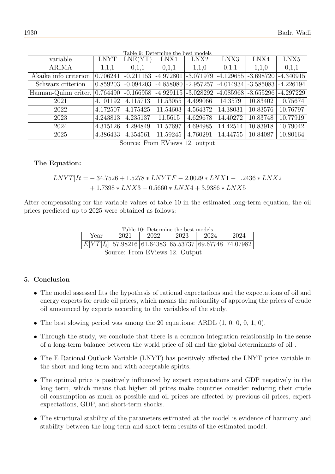| variable              | <b>LNYT</b> | LNE(YT)     | LNX1        | LNX2     | LNX3                                | LNX4     | LNX5        |
|-----------------------|-------------|-------------|-------------|----------|-------------------------------------|----------|-------------|
| <b>ARIMA</b>          | 1,1,1       | 0,1,1       | 0,1,1       | 1,1,0    | 0,1,1                               | 1,1,0    | 0,1,1       |
| Akaike info criterion | 0.706241    | $-0.211153$ | $-4.972801$ |          | $-3.071979$ $-4.129655$ $-3.698720$ |          | $-4.340915$ |
| Schwarz criterion     | 0.859203    | $-0.094203$ | $-4.858080$ |          | $-2.957257$ $-4.014934$ $-3.585083$ |          | $-4.226194$ |
| Hannan-Quinn criter.  | 0.764490    | $-0.166958$ | $-4.929115$ |          | $-3.028292$ $-4.085968$ $-3.655296$ |          | $-4.297229$ |
| 2021                  | 4.101192    | 4.115713    | 11.53055    | 4.499066 | 14.3579                             | 10.83402 | 10.75674    |
| 2022                  | 4.172507    | 4.175425    | 11.54603    | 4.564372 | 14.38031                            | 10.83576 | 10.76797    |
| 2023                  | 4.243813    | 4.235137    | 11.5615     | 4.629678 | 14.40272                            | 10.83748 | 10.77919    |
| 2024                  | 4.315126    | 4.294849    | 11.57697    | 4.694985 | 14.42514                            | 10.83918 | 10.79042    |
| 2025                  | 4.386433    | 4.354561    | 11.59245    | 4.760291 | 14.44755                            | 10.84087 | 10.80164    |

Table 9: Determine the best models

Source: From EViews 12. output

# The Equation:

$$
\begin{aligned} LNYT|It=&-34.7526+1.5278*LNYTF-2.0029*LNX1-1.2436*LNX2\\&+1.7398*LNX3-0.5660*LNX4+3.9386*LNX5 \end{aligned}
$$

After compensating for the variable values of table 10 in the estimated long-term equation, the oil prices predicted up to 2025 were obtained as follows:

|  | Table 10: Determine the best models |  |
|--|-------------------------------------|--|
|  |                                     |  |

| Year | 2021 | 2022 | 2023                                                      | 2024 | 2024 |
|------|------|------|-----------------------------------------------------------|------|------|
|      |      |      | $E[YT I_t ]$ 57.98216 61.64383 65.53737 69.67748 74.07982 |      |      |
|      |      |      |                                                           |      |      |

Source: From EViews 12. Output

# 5. Conclusion

- The model assessed fits the hypothesis of rational expectations and the expectations of oil and energy experts for crude oil prices, which means the rationality of approving the prices of crude oil announced by experts according to the variables of the study.
- The best slowing period was among the 20 equations: ARDL  $(1, 0, 0, 0, 1, 0)$ .
- Through the study, we conclude that there is a common integration relationship in the sense of a long-term balance between the world price of oil and the global determinants of oil .
- The E Rational Outlook Variable (LNYT) has positively affected the LNYT price variable in the short and long term and with acceptable spirits.
- The optimal price is positively influenced by expert expectations and GDP negatively in the long term, which means that higher oil prices make countries consider reducing their crude oil consumption as much as possible and oil prices are affected by previous oil prices, expert expectations, GDP, and short-term shocks.
- The structural stability of the parameters estimated at the model is evidence of harmony and stability between the long-term and short-term results of the estimated model.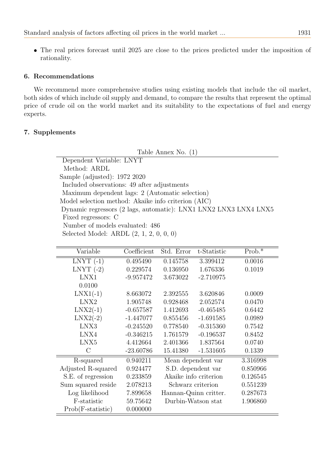The real prices forecast until 2025 are close to the prices predicted under the imposition of rationality.

# 6. Recommendations

We recommend more comprehensive studies using existing models that include the oil market, both sides of which include oil supply and demand, to compare the results that represent the optimal price of crude oil on the world market and its suitability to the expectations of fuel and energy experts.

# 7. Supplements

Table Annex No. (1)

Dependent Variable: LNYT Method: ARDL Sample (adjusted): 1972 2020 Included observations: 49 after adjustments Maximum dependent lags: 2 (Automatic selection) Model selection method: Akaike info criterion (AIC) Dynamic regressors (2 lags, automatic): LNX1 LNX2 LNX3 LNX4 LNX5 Fixed regressors: C Number of models evaluated: 486 Selected Model: ARDL (2, 1, 2, 0, 0, 0)

| Variable            | Coefficient | Std. Error            | t-Statistic | $Prob.*$ |
|---------------------|-------------|-----------------------|-------------|----------|
| $LNYT$ (-1)         | 0.495490    | 0.145758              | 3.399412    | 0.0016   |
| LNYT $(-2)$         | 0.229574    | 0.136950              | 1.676336    | 0.1019   |
| LNX1                | $-9.957472$ | 3.673022              | $-2.710975$ |          |
| 0.0100              |             |                       |             |          |
| $LNX1(-1)$          | 8.663072    | 2.392555              | 3.620846    | 0.0009   |
| LNX2                | 1.905748    | 0.928468              | 2.052574    | 0.0470   |
| $LNX2(-1)$          | $-0.657587$ | 1.412693              | $-0.465485$ | 0.6442   |
| $LNX2(-2)$          | $-1.447077$ | 0.855456              | $-1.691585$ | 0.0989   |
| LNX3                | $-0.245520$ | 0.778540              | $-0.315360$ | 0.7542   |
| LNX4                | $-0.346215$ | 1.761579              | $-0.196537$ | 0.8452   |
| LNX5                | 4.412664    | 2.401366              | 1.837564    | 0.0740   |
| $\mathcal{C}$       | $-23.60786$ | 15.41380              | $-1.531605$ | 0.1339   |
| R-squared           | 0.940211    | Mean dependent var    |             | 3.316998 |
| Adjusted R-squared  | 0.924477    | S.D. dependent var    |             | 0.850966 |
| S.E. of regression  | 0.233859    | Akaike info criterion |             | 0.126545 |
| Sum squared reside  | 2.078213    | Schwarz criterion     |             | 0.551239 |
| Log likelihood      | 7.899658    | Hannan-Quinn critter. |             | 0.287673 |
| F-statistic         | 59.75642    | Durbin-Watson stat    |             | 1.906860 |
| $Prob(F-statistic)$ | 0.000000    |                       |             |          |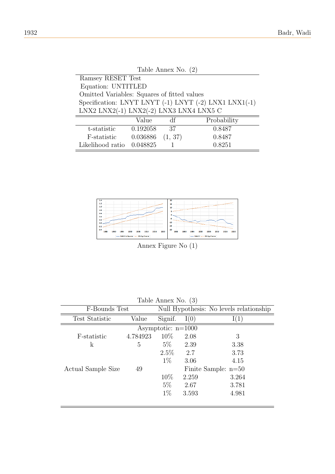| Table Annex No. $(2)$                                 |  |  |  |  |  |  |  |  |
|-------------------------------------------------------|--|--|--|--|--|--|--|--|
| Ramsey RESET Test                                     |  |  |  |  |  |  |  |  |
| Equation: UNTITLED                                    |  |  |  |  |  |  |  |  |
| Omitted Variables: Squares of fitted values           |  |  |  |  |  |  |  |  |
| Specification: LNYT LNYT (-1) LNYT (-2) LNX1 LNX1(-1) |  |  |  |  |  |  |  |  |
| LNX2 LNX2(-1) LNX2(-2) LNX3 LNX4 LNX5 C               |  |  |  |  |  |  |  |  |
| Probability<br>Value<br>df                            |  |  |  |  |  |  |  |  |
| 0.192058<br>0.8487<br>-37<br>t-statistic              |  |  |  |  |  |  |  |  |
| (1, 37)<br>0.036886<br>0.8487<br>F-statistic          |  |  |  |  |  |  |  |  |
| 0.048825<br>0.8251<br>Likelihood ratio                |  |  |  |  |  |  |  |  |



Annex Figure No (1)

| Table Annex No. (3)            |          |                                         |       |       |  |  |  |  |
|--------------------------------|----------|-----------------------------------------|-------|-------|--|--|--|--|
| F-Bounds Test                  |          | Null Hypothesis: No levels relationship |       |       |  |  |  |  |
| <b>Test Statistic</b><br>Value |          | Signif.<br>I(0)                         |       | 1(1)  |  |  |  |  |
| Asymptotic: $n=1000$           |          |                                         |       |       |  |  |  |  |
| F-statistic                    | 4.784923 | $10\%$                                  | 2.08  | 3     |  |  |  |  |
| $\mathbf k$                    | 5        | $5\%$<br>2.39                           |       | 3.38  |  |  |  |  |
|                                |          | $2.5\%$                                 | 2.7   | 3.73  |  |  |  |  |
|                                |          | $1\%$                                   | 3.06  | 4.15  |  |  |  |  |
| Actual Sample Size             | 49       | Finite Sample: $n=50$                   |       |       |  |  |  |  |
|                                |          | 10\%                                    | 2.259 | 3.264 |  |  |  |  |
|                                |          | $5\%$                                   | 2.67  | 3.781 |  |  |  |  |
|                                |          | $1\%$                                   | 3.593 | 4.981 |  |  |  |  |
|                                |          |                                         |       |       |  |  |  |  |

Table Annex No. (3)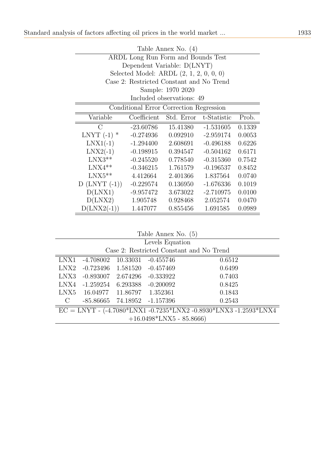| Table Annex No. $(4)$                                       |                                                   |                           |             |        |  |  |  |  |  |
|-------------------------------------------------------------|---------------------------------------------------|---------------------------|-------------|--------|--|--|--|--|--|
| ARDL Long Run Form and Bounds Test                          |                                                   |                           |             |        |  |  |  |  |  |
|                                                             | Dependent Variable: D(LNYT)                       |                           |             |        |  |  |  |  |  |
|                                                             | Selected Model: ARDL $(2, 1, 2, 0, 0, 0)$         |                           |             |        |  |  |  |  |  |
|                                                             | Case 2: Restricted Constant and No Trend          |                           |             |        |  |  |  |  |  |
|                                                             |                                                   | Sample: 1970 2020         |             |        |  |  |  |  |  |
|                                                             |                                                   | Included observations: 49 |             |        |  |  |  |  |  |
| Conditional Error Correction Regression                     |                                                   |                           |             |        |  |  |  |  |  |
| Variable                                                    | Coefficient<br>Std. Error<br>t-Statistic<br>Prob. |                           |             |        |  |  |  |  |  |
| С                                                           | $-23.60786$                                       | 15.41380                  | $-1.531605$ | 0.1339 |  |  |  |  |  |
| LNYT $(-1)$ *                                               | $-0.274936$                                       | 0.092910                  | $-2.959174$ | 0.0053 |  |  |  |  |  |
| $LNX1(-1)$                                                  | $-1.294400$                                       | 2.608691                  | $-0.496188$ | 0.6226 |  |  |  |  |  |
| $LNX2(-1)$                                                  | $-0.198915$                                       | 0.394547                  | $-0.504162$ | 0.6171 |  |  |  |  |  |
| $LNX3**$                                                    | $-0.245520$                                       | 0.778540                  | $-0.315360$ | 0.7542 |  |  |  |  |  |
| $LNX4**$                                                    | $-0.346215$                                       | 1.761579                  | $-0.196537$ | 0.8452 |  |  |  |  |  |
| $LNX5**$                                                    | 4.412664                                          | 2.401366                  | 1.837564    | 0.0740 |  |  |  |  |  |
| $D$ (LNYT $(-1)$ )                                          | $-0.229574$                                       | 0.136950                  | $-1.676336$ | 0.1019 |  |  |  |  |  |
| D(LNX1)                                                     | $-9.957472$                                       | 3.673022                  | $-2.710975$ | 0.0100 |  |  |  |  |  |
| D(LNX2)                                                     | 1.905748                                          | 0.928468                  | 2.052574    | 0.0470 |  |  |  |  |  |
| $D(LNX2(-1))$<br>0.855456<br>1.691585<br>1.447077<br>0.0989 |                                                   |                           |             |        |  |  |  |  |  |

Table Annex No. (5)

| Levels Equation                                                       |  |  |  |  |  |  |  |  |
|-----------------------------------------------------------------------|--|--|--|--|--|--|--|--|
| Case 2: Restricted Constant and No Trend                              |  |  |  |  |  |  |  |  |
|                                                                       |  |  |  |  |  |  |  |  |
|                                                                       |  |  |  |  |  |  |  |  |
|                                                                       |  |  |  |  |  |  |  |  |
|                                                                       |  |  |  |  |  |  |  |  |
|                                                                       |  |  |  |  |  |  |  |  |
|                                                                       |  |  |  |  |  |  |  |  |
| $EC = LNYT - (-4.7080*LNX1 - 0.7235*LNX2 - 0.8930*LNX3 - 1.2593*LNX4$ |  |  |  |  |  |  |  |  |
| $+16.0498*LNX5 - 85.8666$                                             |  |  |  |  |  |  |  |  |
|                                                                       |  |  |  |  |  |  |  |  |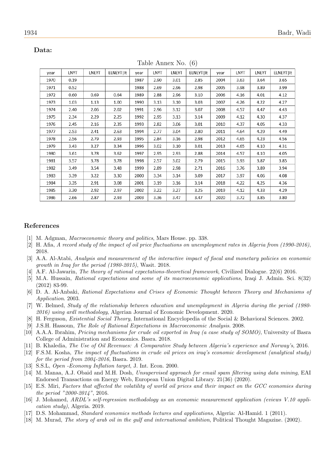|      |             |       |             |      |      |       | $\sqrt{2}$  |      |      |       |             |
|------|-------------|-------|-------------|------|------|-------|-------------|------|------|-------|-------------|
| year | <b>LNYT</b> | LNEYT | ELNEYT   It | year | LNYT | LNEYT | ELNEYT   It | year | LNYT | LNEYT | ELNEYT   It |
| 1970 | 0.19        |       |             | 1987 | 2.90 | 3.01  | 2.85        | 2004 | 3.63 | 3.64  | 3.65        |
| 1971 | 0.52        |       |             | 1988 | 2.69 | 2.96  | 2.98        | 2005 | 3.98 | 3.89  | 3.99        |
| 1972 | 0.60        | 0.69  | 0.64        | 1989 | 2.88 | 2.96  | 3.10        | 2006 | 4.16 | 4.01  | 4.12        |
| 1973 | 1.03        | 1.13  | 1.00        | 1990 | 3.13 | 3.10  | 3.03        | 2007 | 4.26 | 4.22  | 4.27        |
| 1974 | 2.40        | 2.06  | 2.02        | 1991 | 2.96 | 3.12  | 3.07        | 2008 | 4.57 | 4.47  | 4.43        |
| 1975 | 2.34        | 2.29  | 2.25        | 1992 | 2.95 | 3.13  | 3.14        | 2009 | 4.12 | 4.30  | 4.37        |
| 1976 | 2.45        | 2.16  | 2.35        | 1993 | 2.82 | 3.06  | 3.01        | 2010 | 4.37 | 4.05  | 4.33        |
| 1977 | 2.53        | 2.41  | 2.63        | 1994 | 2.77 | 3.04  | 2.80        | 2011 | 4.64 | 4.29  | 4.49        |
| 1978 | 2.56        | 2.79  | 2.93        | 1995 | 2.84 | 3.16  | 2.98        | 2012 | 4.65 | 4.23  | 4.56        |
| 1979 | 3.43        | 3.27  | 3.34        | 1996 | 3.02 | 3.10  | 3.01        | 2013 | 4.65 | 4.10  | 4.31        |
| 1980 | 3.61        | 3.78  | 3.62        | 1997 | 2.95 | 2.93  | 2.88        | 2014 | 4.57 | 4.10  | 4.05        |
| 1981 | 3.57        | 3.78  | 3.78        | 1998 | 2.57 | 3.02  | 2.79        | 2015 | 3.93 | 3.87  | 3.85        |
| 1982 | 3.49        | 3.54  | 3.48        | 1999 | 2.89 | 2.98  | 2.71        | 2016 | 3.76 | 3.89  | 3.94        |
| 1983 | 3.39        | 3.22  | 3.30        | 2000 | 3.34 | 3.14  | 3.09        | 2017 | 3.97 | 4.06  | 4.08        |
| 1984 | 3.35        | 2.91  | 3.08        | 2001 | 3.19 | 3.16  | 3.14        | 2018 | 4.22 | 4.25  | 4.36        |
| 1985 | 3.30        | 2.92  | 2.97        | 2002 | 3.22 | 3.27  | 3.25        | 2019 | 4.12 | 4.33  | 4.29        |
| 1986 | 2.66        | 2.87  | 2.93        | 2003 | 3.36 | 3.47  | 3.47        | 2020 | 3.72 | 3.85  | 3.80        |

#### Data:

#### Table Annex No. (6)

#### References

- <span id="page-21-4"></span>[1] M. Adgman, Macroeconomic theory and politics, Mars House. pp. 338.
- <span id="page-21-9"></span>[2] H. Afia, A record study of the impact of oil price fluctuations on unemployment rates in Algeria from (1990-2016), 2018.
- <span id="page-21-3"></span>[3] A.A. Al-Atabi, Analysis and measurement of the interactive impact of fiscal and monetary policies on economic growth in Iraq for the period (1980-2015), Wasit. 2018.
- <span id="page-21-5"></span>[4] A.F. Al-Jawarin, The theory of rational expectations-theoretical framework, Civilized Dialogue. 22(6) 2016.
- <span id="page-21-6"></span>[5] M.A. Hussain, Rational expectations and some of its macroeconomic applications, Iraqi J. Admin. Sci. 8(32) (2012) 83-99.
- <span id="page-21-7"></span>[6] D. A. Al-Anbaki, Rational Expectations and Crises of Economic Thought between Theory and Mechanisms of Application. 2003.
- <span id="page-21-15"></span>[7] W. Belmed, Study of the relationship between education and unemployment in Algeria during the period (1980- 2016) using ardl methodology, Algerian Journal of Economic Development. 2020.
- <span id="page-21-0"></span>[8] H. Ferguson, Existential Social Theory, International Encyclopedia of the Social & Behavioral Sciences. 2002.
- <span id="page-21-1"></span>[9] J.S.H. Hassoun, The Role of Rational Expectations in Macroeconomic Analysis. 2008.
- <span id="page-21-13"></span>[10] A.A.A. Ibrahim, Pricing mechanisms for crude oil exported in Iraq (a case study of SOMO), University of Basra College of Administration and Economics. Basra. 2018.
- <span id="page-21-12"></span>[11] B. Khaledia, The Use of Oil Revenues: A Comparative Study between Algeria's experience and Norway's, 2016.
- <span id="page-21-8"></span>[12] F.S.M. Kosha, The impact of fluctuations in crude oil prices on iraq's economic development (analytical study) for the period from 2004-2016, Basra. 2019.
- <span id="page-21-2"></span>[13] S.S.L, *Open -Economy Inflation target*, J. Int. Econ. 2000.
- <span id="page-21-16"></span>[14] M. Manaa, A.J. Obaid and M.H. Dosh, Unsupervised approach for email spam filtering using data mining, EAI Endorsed Transactions on Energy Web, European Union Digital Library. 21(36) (2020).
- <span id="page-21-11"></span>[15] E.S. Miri, Factors that affected the volatility of world oil prices and their impact on the GCC economies during the period "2000-2014", 2016.
- <span id="page-21-14"></span>[16] J. Mohamed, ARDL's self-regression methodology as an economic measurement application (eviews V.10 application study), Algeria. 2019.
- <span id="page-21-17"></span>[17] D.S. Mohammad, Standard economics methods lectures and applications, Algeria: Al-Hamid. 1 (2011).
- <span id="page-21-10"></span>[18] M. Murad, The story of arab oil in the gulf and international ambition, Political Thought Magazine. (2002).